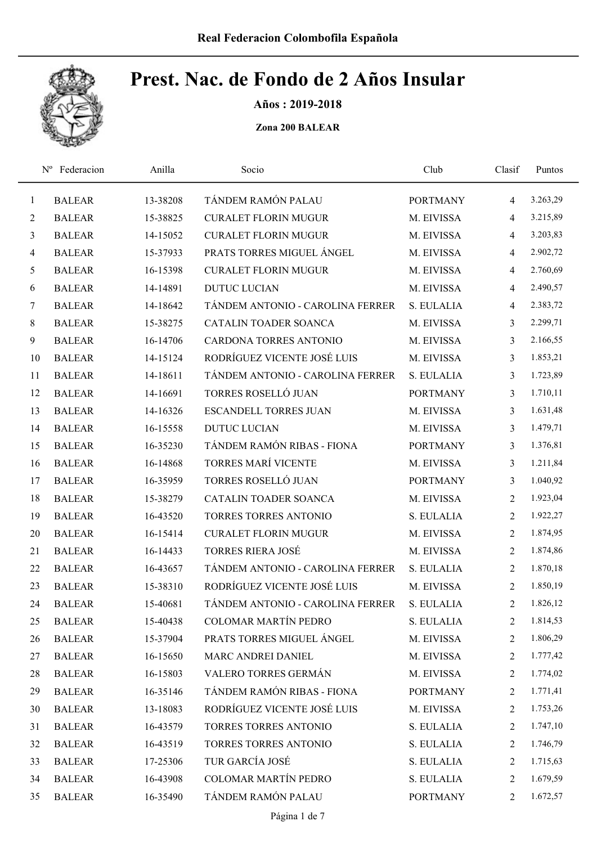

Años : 2019-2018

| $\mathbf{1}$   | <b>BALEAR</b> | 13-38208 | TÁNDEM RAMÓN PALAU               | <b>PORTMANY</b> | 4              | 3.263,29 |
|----------------|---------------|----------|----------------------------------|-----------------|----------------|----------|
| $\overline{2}$ | <b>BALEAR</b> | 15-38825 | <b>CURALET FLORIN MUGUR</b>      | M. EIVISSA      | 4              | 3.215,89 |
| $\mathfrak{Z}$ | <b>BALEAR</b> | 14-15052 | <b>CURALET FLORIN MUGUR</b>      | M. EIVISSA      | 4              | 3.203,83 |
| $\overline{4}$ | <b>BALEAR</b> | 15-37933 | PRATS TORRES MIGUEL ÁNGEL        | M. EIVISSA      | $\overline{4}$ | 2.902,72 |
| 5              | <b>BALEAR</b> | 16-15398 | <b>CURALET FLORIN MUGUR</b>      | M. EIVISSA      | 4              | 2.760,69 |
| 6              | <b>BALEAR</b> | 14-14891 | <b>DUTUC LUCIAN</b>              | M. EIVISSA      | $\overline{4}$ | 2.490,57 |
| $\tau$         | <b>BALEAR</b> | 14-18642 | TÁNDEM ANTONIO - CAROLINA FERRER | S. EULALIA      | 4              | 2.383,72 |
| $8\,$          | <b>BALEAR</b> | 15-38275 | CATALIN TOADER SOANCA            | M. EIVISSA      | 3              | 2.299,71 |
| 9              | <b>BALEAR</b> | 16-14706 | CARDONA TORRES ANTONIO           | M. EIVISSA      | 3              | 2.166,55 |
| 10             | <b>BALEAR</b> | 14-15124 | RODRÍGUEZ VICENTE JOSÉ LUIS      | M. EIVISSA      | 3              | 1.853,21 |
| 11             | <b>BALEAR</b> | 14-18611 | TÁNDEM ANTONIO - CAROLINA FERRER | S. EULALIA      | 3              | 1.723,89 |
| 12             | <b>BALEAR</b> | 14-16691 | <b>TORRES ROSELLÓ JUAN</b>       | <b>PORTMANY</b> | 3              | 1.710,11 |
| 13             | <b>BALEAR</b> | 14-16326 | <b>ESCANDELL TORRES JUAN</b>     | M. EIVISSA      | 3              | 1.631,48 |
| 14             | <b>BALEAR</b> | 16-15558 | <b>DUTUC LUCIAN</b>              | M. EIVISSA      | 3              | 1.479,71 |
| 15             | <b>BALEAR</b> | 16-35230 | TÁNDEM RAMÓN RIBAS - FIONA       | <b>PORTMANY</b> | 3              | 1.376,81 |
| 16             | <b>BALEAR</b> | 16-14868 | <b>TORRES MARÍ VICENTE</b>       | M. EIVISSA      | 3              | 1.211,84 |
| 17             | <b>BALEAR</b> | 16-35959 | TORRES ROSELLÓ JUAN              | <b>PORTMANY</b> | 3              | 1.040,92 |
| 18             | <b>BALEAR</b> | 15-38279 | CATALIN TOADER SOANCA            | M. EIVISSA      | $\overline{2}$ | 1.923,04 |
| 19             | <b>BALEAR</b> | 16-43520 | <b>TORRES TORRES ANTONIO</b>     | S. EULALIA      | $\overline{2}$ | 1.922,27 |
| 20             | <b>BALEAR</b> | 16-15414 | <b>CURALET FLORIN MUGUR</b>      | M. EIVISSA      | $\overline{2}$ | 1.874,95 |
| 21             | <b>BALEAR</b> | 16-14433 | <b>TORRES RIERA JOSÉ</b>         | M. EIVISSA      | $\overline{2}$ | 1.874,86 |
| 22             | <b>BALEAR</b> | 16-43657 | TÁNDEM ANTONIO - CAROLINA FERRER | S. EULALIA      | $\overline{2}$ | 1.870,18 |
| 23             | <b>BALEAR</b> | 15-38310 | RODRÍGUEZ VICENTE JOSÉ LUIS      | M. EIVISSA      | 2              | 1.850,19 |
| 24             | <b>BALEAR</b> | 15-40681 | TÁNDEM ANTONIO - CAROLINA FERRER | S. EULALIA      | 2              | 1.826,12 |
| 25             | <b>BALEAR</b> | 15-40438 | <b>COLOMAR MARTÍN PEDRO</b>      | S. EULALIA      | 2              | 1.814,53 |
| 26             | <b>BALEAR</b> | 15-37904 | PRATS TORRES MIGUEL ÁNGEL        | M. EIVISSA      | 2              | 1.806,29 |
| 27             | <b>BALEAR</b> | 16-15650 | MARC ANDREI DANIEL               | M. EIVISSA      | 2              | 1.777,42 |
| 28             | <b>BALEAR</b> | 16-15803 | VALERO TORRES GERMÁN             | M. EIVISSA      | 2              | 1.774,02 |
| 29             | <b>BALEAR</b> | 16-35146 | TÁNDEM RAMÓN RIBAS - FIONA       | <b>PORTMANY</b> | 2              | 1.771,41 |
| 30             | <b>BALEAR</b> | 13-18083 | RODRÍGUEZ VICENTE JOSÉ LUIS      | M. EIVISSA      | 2              | 1.753,26 |
| 31             | <b>BALEAR</b> | 16-43579 | <b>TORRES TORRES ANTONIO</b>     | S. EULALIA      | 2              | 1.747,10 |
| 32             | <b>BALEAR</b> | 16-43519 | TORRES TORRES ANTONIO            | S. EULALIA      | 2              | 1.746,79 |
| 33             | <b>BALEAR</b> | 17-25306 | TUR GARCÍA JOSÉ                  | S. EULALIA      | 2              | 1.715,63 |
| 34             | <b>BALEAR</b> | 16-43908 | COLOMAR MARTÍN PEDRO             | S. EULALIA      | 2              | 1.679,59 |
| 35             | <b>BALEAR</b> | 16-35490 | TÁNDEM RAMÓN PALAU               | <b>PORTMANY</b> | 2              | 1.672,57 |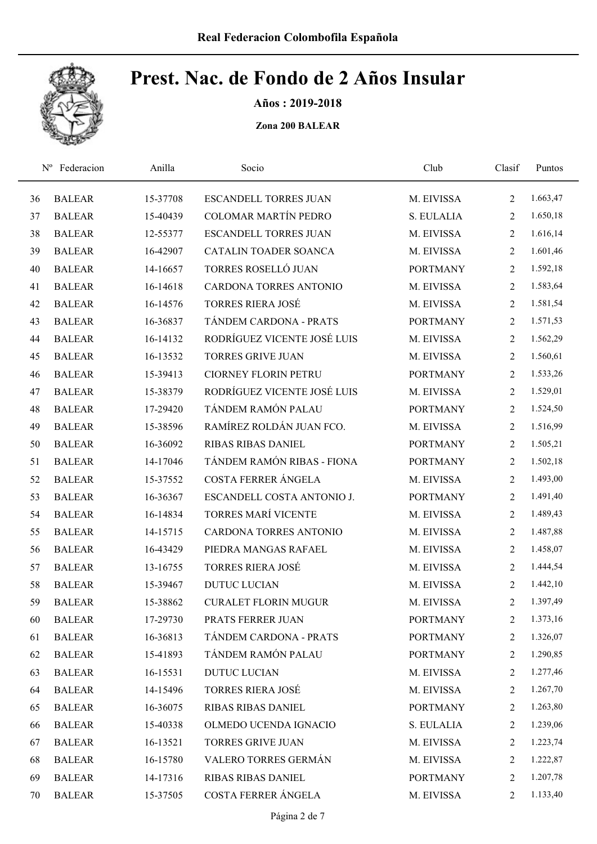

Años : 2019-2018

| $N^{\rm o}$ | Federacion    | Anilla   | Socio                         | Club            | Clasif         | Puntos   |
|-------------|---------------|----------|-------------------------------|-----------------|----------------|----------|
| 36          | <b>BALEAR</b> | 15-37708 | <b>ESCANDELL TORRES JUAN</b>  | M. EIVISSA      | $\overline{2}$ | 1.663,47 |
| 37          | <b>BALEAR</b> | 15-40439 | <b>COLOMAR MARTÍN PEDRO</b>   | S. EULALIA      | $\overline{2}$ | 1.650,18 |
| 38          | <b>BALEAR</b> | 12-55377 | <b>ESCANDELL TORRES JUAN</b>  | M. EIVISSA      | 2              | 1.616,14 |
| 39          | <b>BALEAR</b> | 16-42907 | CATALIN TOADER SOANCA         | M. EIVISSA      | 2              | 1.601,46 |
| 40          | <b>BALEAR</b> | 14-16657 | TORRES ROSELLÓ JUAN           | <b>PORTMANY</b> | $\overline{2}$ | 1.592,18 |
| 41          | <b>BALEAR</b> | 16-14618 | <b>CARDONA TORRES ANTONIO</b> | M. EIVISSA      | $\overline{2}$ | 1.583,64 |
| 42          | <b>BALEAR</b> | 16-14576 | <b>TORRES RIERA JOSÉ</b>      | M. EIVISSA      | $\overline{2}$ | 1.581,54 |
| 43          | <b>BALEAR</b> | 16-36837 | TÁNDEM CARDONA - PRATS        | <b>PORTMANY</b> | $\overline{2}$ | 1.571,53 |
| 44          | <b>BALEAR</b> | 16-14132 | RODRÍGUEZ VICENTE JOSÉ LUIS   | M. EIVISSA      | 2              | 1.562,29 |
| 45          | <b>BALEAR</b> | 16-13532 | <b>TORRES GRIVE JUAN</b>      | M. EIVISSA      | 2              | 1.560,61 |
| 46          | <b>BALEAR</b> | 15-39413 | <b>CIORNEY FLORIN PETRU</b>   | <b>PORTMANY</b> | $\overline{2}$ | 1.533,26 |
| 47          | <b>BALEAR</b> | 15-38379 | RODRÍGUEZ VICENTE JOSÉ LUIS   | M. EIVISSA      | $\overline{2}$ | 1.529,01 |
| 48          | <b>BALEAR</b> | 17-29420 | TÁNDEM RAMÓN PALAU            | <b>PORTMANY</b> | $\overline{2}$ | 1.524,50 |
| 49          | <b>BALEAR</b> | 15-38596 | RAMÍREZ ROLDÁN JUAN FCO.      | M. EIVISSA      | $\overline{2}$ | 1.516,99 |
| 50          | <b>BALEAR</b> | 16-36092 | <b>RIBAS RIBAS DANIEL</b>     | <b>PORTMANY</b> | $\overline{2}$ | 1.505,21 |
| 51          | <b>BALEAR</b> | 14-17046 | TÁNDEM RAMÓN RIBAS - FIONA    | <b>PORTMANY</b> | $\overline{2}$ | 1.502,18 |
| 52          | <b>BALEAR</b> | 15-37552 | COSTA FERRER ÁNGELA           | M. EIVISSA      | $\overline{2}$ | 1.493,00 |
| 53          | <b>BALEAR</b> | 16-36367 | ESCANDELL COSTA ANTONIO J.    | <b>PORTMANY</b> | $\overline{2}$ | 1.491,40 |
| 54          | <b>BALEAR</b> | 16-14834 | <b>TORRES MARÍ VICENTE</b>    | M. EIVISSA      | $\overline{2}$ | 1.489,43 |
| 55          | <b>BALEAR</b> | 14-15715 | CARDONA TORRES ANTONIO        | M. EIVISSA      | $\overline{2}$ | 1.487,88 |
| 56          | <b>BALEAR</b> | 16-43429 | PIEDRA MANGAS RAFAEL          | M. EIVISSA      | $\overline{2}$ | 1.458,07 |
| 57          | <b>BALEAR</b> | 13-16755 | <b>TORRES RIERA JOSÉ</b>      | M. EIVISSA      | 2              | 1.444,54 |
| 58          | <b>BALEAR</b> | 15-39467 | <b>DUTUC LUCIAN</b>           | M. EIVISSA      | 2              | 1.442,10 |
| 59          | <b>BALEAR</b> | 15-38862 | <b>CURALET FLORIN MUGUR</b>   | M. EIVISSA      | $\overline{2}$ | 1.397,49 |
| 60          | <b>BALEAR</b> | 17-29730 | PRATS FERRER JUAN             | <b>PORTMANY</b> | $\overline{2}$ | 1.373,16 |
| 61          | <b>BALEAR</b> | 16-36813 | TÁNDEM CARDONA - PRATS        | <b>PORTMANY</b> | 2              | 1.326,07 |
| 62          | <b>BALEAR</b> | 15-41893 | TÁNDEM RAMÓN PALAU            | <b>PORTMANY</b> | $\overline{2}$ | 1.290,85 |
| 63          | <b>BALEAR</b> | 16-15531 | <b>DUTUC LUCIAN</b>           | M. EIVISSA      | 2              | 1.277,46 |
| 64          | <b>BALEAR</b> | 14-15496 | <b>TORRES RIERA JOSÉ</b>      | M. EIVISSA      | 2              | 1.267,70 |
| 65          | <b>BALEAR</b> | 16-36075 | RIBAS RIBAS DANIEL            | <b>PORTMANY</b> | 2              | 1.263,80 |
| 66          | <b>BALEAR</b> | 15-40338 | OLMEDO UCENDA IGNACIO         | S. EULALIA      | $\overline{2}$ | 1.239,06 |
| 67          | <b>BALEAR</b> | 16-13521 | TORRES GRIVE JUAN             | M. EIVISSA      | 2              | 1.223,74 |
| 68          | <b>BALEAR</b> | 16-15780 | VALERO TORRES GERMÁN          | M. EIVISSA      | 2              | 1.222,87 |
| 69          | <b>BALEAR</b> | 14-17316 | RIBAS RIBAS DANIEL            | <b>PORTMANY</b> | 2              | 1.207,78 |
| 70          | <b>BALEAR</b> | 15-37505 | COSTA FERRER ÁNGELA           | M. EIVISSA      | 2              | 1.133,40 |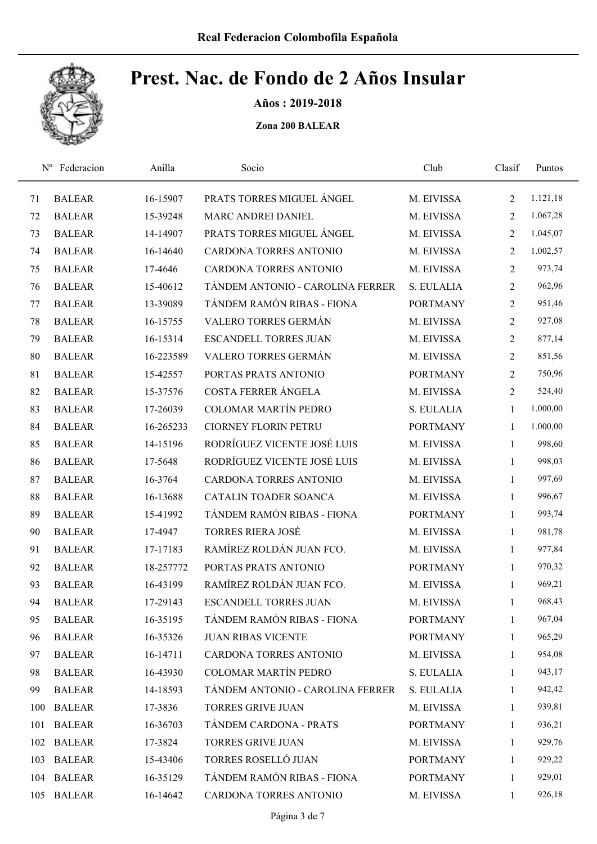

Años : 2019-2018

| $N^{\rm o}$ | Federacion    | Anilla    | Socio                            | Club            | Clasif         | Puntos   |
|-------------|---------------|-----------|----------------------------------|-----------------|----------------|----------|
| 71          | <b>BALEAR</b> | 16-15907  | PRATS TORRES MIGUEL ÁNGEL        | M. EIVISSA      | $\overline{2}$ | 1.121,18 |
| 72          | <b>BALEAR</b> | 15-39248  | MARC ANDREI DANIEL               | M. EIVISSA      | $\overline{2}$ | 1.067,28 |
| 73          | <b>BALEAR</b> | 14-14907  | PRATS TORRES MIGUEL ÁNGEL        | M. EIVISSA      | $\overline{2}$ | 1.045,07 |
| 74          | <b>BALEAR</b> | 16-14640  | CARDONA TORRES ANTONIO           | M. EIVISSA      | $\overline{2}$ | 1.002,57 |
| 75          | <b>BALEAR</b> | 17-4646   | CARDONA TORRES ANTONIO           | M. EIVISSA      | $\overline{2}$ | 973,74   |
| 76          | <b>BALEAR</b> | 15-40612  | TÁNDEM ANTONIO - CAROLINA FERRER | S. EULALIA      | $\overline{2}$ | 962,96   |
| 77          | <b>BALEAR</b> | 13-39089  | TÁNDEM RAMÓN RIBAS - FIONA       | <b>PORTMANY</b> | $\overline{2}$ | 951,46   |
| 78          | <b>BALEAR</b> | 16-15755  | VALERO TORRES GERMÁN             | M. EIVISSA      | $\overline{2}$ | 927,08   |
| 79          | <b>BALEAR</b> | 16-15314  | <b>ESCANDELL TORRES JUAN</b>     | M. EIVISSA      | 2              | 877,14   |
| 80          | <b>BALEAR</b> | 16-223589 | VALERO TORRES GERMÁN             | M. EIVISSA      | 2              | 851,56   |
| 81          | <b>BALEAR</b> | 15-42557  | PORTAS PRATS ANTONIO             | <b>PORTMANY</b> | 2              | 750,96   |
| 82          | <b>BALEAR</b> | 15-37576  | COSTA FERRER ÁNGELA              | M. EIVISSA      | 2              | 524,40   |
| 83          | <b>BALEAR</b> | 17-26039  | <b>COLOMAR MARTÍN PEDRO</b>      | S. EULALIA      | 1              | 1.000,00 |
| 84          | <b>BALEAR</b> | 16-265233 | <b>CIORNEY FLORIN PETRU</b>      | <b>PORTMANY</b> | 1              | 1.000,00 |
| 85          | <b>BALEAR</b> | 14-15196  | RODRÍGUEZ VICENTE JOSÉ LUIS      | M. EIVISSA      | $\mathbf{1}$   | 998,60   |
| 86          | <b>BALEAR</b> | 17-5648   | RODRÍGUEZ VICENTE JOSÉ LUIS      | M. EIVISSA      | $\mathbf{1}$   | 998,03   |
| 87          | <b>BALEAR</b> | 16-3764   | <b>CARDONA TORRES ANTONIO</b>    | M. EIVISSA      | $\mathbf{1}$   | 997,69   |
| 88          | <b>BALEAR</b> | 16-13688  | CATALIN TOADER SOANCA            | M. EIVISSA      | $\mathbf{1}$   | 996,67   |
| 89          | <b>BALEAR</b> | 15-41992  | TÁNDEM RAMÓN RIBAS - FIONA       | <b>PORTMANY</b> | $\mathbf{1}$   | 993,74   |
| 90          | <b>BALEAR</b> | 17-4947   | <b>TORRES RIERA JOSÉ</b>         | M. EIVISSA      | $\mathbf{1}$   | 981,78   |
| 91          | <b>BALEAR</b> | 17-17183  | RAMÍREZ ROLDÁN JUAN FCO.         | M. EIVISSA      | $\mathbf{1}$   | 977,84   |
| 92          | <b>BALEAR</b> | 18-257772 | PORTAS PRATS ANTONIO             | <b>PORTMANY</b> | $\mathbf{1}$   | 970,32   |
| 93          | <b>BALEAR</b> | 16-43199  | RAMÍREZ ROLDÁN JUAN FCO.         | M. EIVISSA      | $\mathbf{1}$   | 969,21   |
| 94          | <b>BALEAR</b> | 17-29143  | <b>ESCANDELL TORRES JUAN</b>     | M. EIVISSA      | $\mathbf{1}$   | 968,43   |
| 95          | <b>BALEAR</b> | 16-35195  | TÁNDEM RAMÓN RIBAS - FIONA       | <b>PORTMANY</b> | 1              | 967,04   |
| 96          | <b>BALEAR</b> | 16-35326  | <b>JUAN RIBAS VICENTE</b>        | <b>PORTMANY</b> | $\mathbf{1}$   | 965,29   |
| 97          | <b>BALEAR</b> | 16-14711  | CARDONA TORRES ANTONIO           | M. EIVISSA      | 1              | 954,08   |
| 98          | <b>BALEAR</b> | 16-43930  | COLOMAR MARTÍN PEDRO             | S. EULALIA      | $\mathbf{1}$   | 943,17   |
| 99          | <b>BALEAR</b> | 14-18593  | TÁNDEM ANTONIO - CAROLINA FERRER | S. EULALIA      | $\mathbf{1}$   | 942,42   |
|             | 100 BALEAR    | 17-3836   | <b>TORRES GRIVE JUAN</b>         | M. EIVISSA      | $\mathbf{1}$   | 939,81   |
| 101         | <b>BALEAR</b> | 16-36703  | TÁNDEM CARDONA - PRATS           | <b>PORTMANY</b> | $\mathbf{1}$   | 936,21   |
|             | 102 BALEAR    | 17-3824   | <b>TORRES GRIVE JUAN</b>         | M. EIVISSA      | $\mathbf{1}$   | 929,76   |
| 103         | <b>BALEAR</b> | 15-43406  | TORRES ROSELLÓ JUAN              | <b>PORTMANY</b> | $\mathbf{1}$   | 929,22   |
|             | 104 BALEAR    | 16-35129  | TÁNDEM RAMÓN RIBAS - FIONA       | <b>PORTMANY</b> | $\mathbf{1}$   | 929,01   |
|             | 105 BALEAR    | 16-14642  | CARDONA TORRES ANTONIO           | M. EIVISSA      | $\mathbf{1}$   | 926,18   |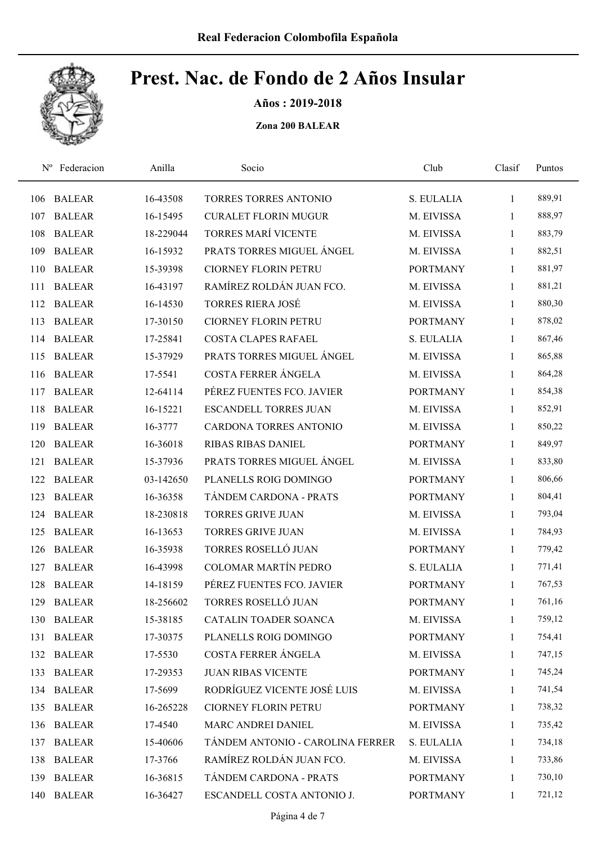

Años : 2019-2018

| $N^{\rm o}$ | Federacion    | Anilla    | Socio                            | Club            | Clasif       | Puntos |
|-------------|---------------|-----------|----------------------------------|-----------------|--------------|--------|
| 106         | <b>BALEAR</b> | 16-43508  | <b>TORRES TORRES ANTONIO</b>     | S. EULALIA      | $\mathbf{1}$ | 889,91 |
| 107         | <b>BALEAR</b> | 16-15495  | <b>CURALET FLORIN MUGUR</b>      | M. EIVISSA      | 1            | 888,97 |
| 108         | <b>BALEAR</b> | 18-229044 | TORRES MARÍ VICENTE              | M. EIVISSA      | $\mathbf{1}$ | 883,79 |
| 109         | <b>BALEAR</b> | 16-15932  | PRATS TORRES MIGUEL ÁNGEL        | M. EIVISSA      | $\mathbf{1}$ | 882,51 |
| 110         | <b>BALEAR</b> | 15-39398  | <b>CIORNEY FLORIN PETRU</b>      | <b>PORTMANY</b> | $\mathbf{1}$ | 881,97 |
| 111         | <b>BALEAR</b> | 16-43197  | RAMÍREZ ROLDÁN JUAN FCO.         | M. EIVISSA      | 1            | 881,21 |
| 112         | <b>BALEAR</b> | 16-14530  | <b>TORRES RIERA JOSÉ</b>         | M. EIVISSA      | $\mathbf{1}$ | 880,30 |
| 113         | <b>BALEAR</b> | 17-30150  | <b>CIORNEY FLORIN PETRU</b>      | <b>PORTMANY</b> | 1            | 878,02 |
| 114         | <b>BALEAR</b> | 17-25841  | <b>COSTA CLAPES RAFAEL</b>       | S. EULALIA      | 1            | 867,46 |
| 115         | <b>BALEAR</b> | 15-37929  | PRATS TORRES MIGUEL ÁNGEL        | M. EIVISSA      | $\mathbf{1}$ | 865,88 |
| 116         | <b>BALEAR</b> | 17-5541   | COSTA FERRER ÁNGELA              | M. EIVISSA      | 1            | 864,28 |
| 117         | <b>BALEAR</b> | 12-64114  | PÉREZ FUENTES FCO. JAVIER        | <b>PORTMANY</b> | 1            | 854,38 |
| 118         | <b>BALEAR</b> | 16-15221  | <b>ESCANDELL TORRES JUAN</b>     | M. EIVISSA      | 1            | 852,91 |
| 119         | <b>BALEAR</b> | 16-3777   | <b>CARDONA TORRES ANTONIO</b>    | M. EIVISSA      | 1            | 850,22 |
| 120         | <b>BALEAR</b> | 16-36018  | <b>RIBAS RIBAS DANIEL</b>        | <b>PORTMANY</b> | 1            | 849,97 |
| 121         | <b>BALEAR</b> | 15-37936  | PRATS TORRES MIGUEL ÁNGEL        | M. EIVISSA      | $\mathbf{1}$ | 833,80 |
| 122         | <b>BALEAR</b> | 03-142650 | PLANELLS ROIG DOMINGO            | <b>PORTMANY</b> | 1            | 806,66 |
| 123         | <b>BALEAR</b> | 16-36358  | TÁNDEM CARDONA - PRATS           | <b>PORTMANY</b> | $\mathbf{1}$ | 804,41 |
| 124         | <b>BALEAR</b> | 18-230818 | <b>TORRES GRIVE JUAN</b>         | M. EIVISSA      | $\mathbf{1}$ | 793,04 |
| 125         | <b>BALEAR</b> | 16-13653  | <b>TORRES GRIVE JUAN</b>         | M. EIVISSA      | $\mathbf{1}$ | 784,93 |
| 126         | <b>BALEAR</b> | 16-35938  | TORRES ROSELLÓ JUAN              | <b>PORTMANY</b> | $\mathbf{1}$ | 779,42 |
| 127         | <b>BALEAR</b> | 16-43998  | <b>COLOMAR MARTÍN PEDRO</b>      | S. EULALIA      | $\mathbf{1}$ | 771,41 |
| 128         | <b>BALEAR</b> | 14-18159  | PÉREZ FUENTES FCO. JAVIER        | <b>PORTMANY</b> | $\mathbf{1}$ | 767,53 |
| 129         | <b>BALEAR</b> | 18-256602 | TORRES ROSELLÓ JUAN              | <b>PORTMANY</b> | $\mathbf{1}$ | 761,16 |
| 130         | <b>BALEAR</b> | 15-38185  | CATALIN TOADER SOANCA            | M. EIVISSA      | 1            | 759,12 |
| 131         | <b>BALEAR</b> | 17-30375  | PLANELLS ROIG DOMINGO            | <b>PORTMANY</b> | $\mathbf{1}$ | 754,41 |
| 132         | <b>BALEAR</b> | 17-5530   | COSTA FERRER ÁNGELA              | M. EIVISSA      | 1            | 747,15 |
| 133         | <b>BALEAR</b> | 17-29353  | <b>JUAN RIBAS VICENTE</b>        | <b>PORTMANY</b> | 1            | 745,24 |
| 134         | <b>BALEAR</b> | 17-5699   | RODRÍGUEZ VICENTE JOSÉ LUIS      | M. EIVISSA      | 1            | 741,54 |
| 135         | <b>BALEAR</b> | 16-265228 | <b>CIORNEY FLORIN PETRU</b>      | <b>PORTMANY</b> | $\mathbf{1}$ | 738,32 |
| 136         | <b>BALEAR</b> | 17-4540   | MARC ANDREI DANIEL               | M. EIVISSA      | 1            | 735,42 |
| 137         | <b>BALEAR</b> | 15-40606  | TÁNDEM ANTONIO - CAROLINA FERRER | S. EULALIA      | 1            | 734,18 |
| 138         | <b>BALEAR</b> | 17-3766   | RAMÍREZ ROLDÁN JUAN FCO.         | M. EIVISSA      | 1            | 733,86 |
| 139         | <b>BALEAR</b> | 16-36815  | TÁNDEM CARDONA - PRATS           | <b>PORTMANY</b> | 1            | 730,10 |
| 140         | <b>BALEAR</b> | 16-36427  | ESCANDELL COSTA ANTONIO J.       | <b>PORTMANY</b> | $\mathbf{1}$ | 721,12 |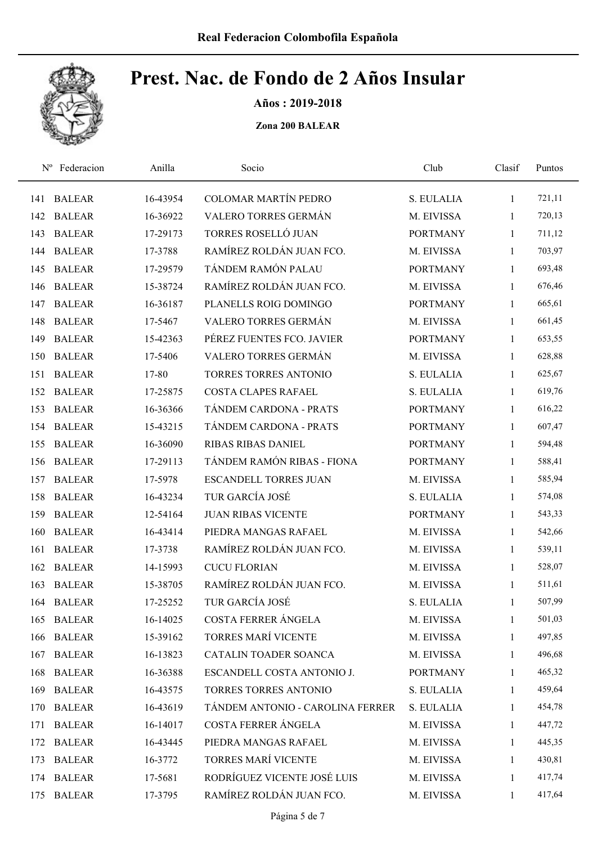

Años : 2019-2018

| $N^{\rm o}$ | Federacion    | Anilla   | Socio                            | Club            | Clasif       | Puntos |
|-------------|---------------|----------|----------------------------------|-----------------|--------------|--------|
| 141         | <b>BALEAR</b> | 16-43954 | COLOMAR MARTÍN PEDRO             | S. EULALIA      | $\mathbf{1}$ | 721,11 |
| 142         | <b>BALEAR</b> | 16-36922 | VALERO TORRES GERMÁN             | M. EIVISSA      | 1            | 720,13 |
| 143         | <b>BALEAR</b> | 17-29173 | TORRES ROSELLÓ JUAN              | <b>PORTMANY</b> | $\mathbf{1}$ | 711,12 |
| 144         | <b>BALEAR</b> | 17-3788  | RAMÍREZ ROLDÁN JUAN FCO.         | M. EIVISSA      | 1            | 703,97 |
| 145         | <b>BALEAR</b> | 17-29579 | TÁNDEM RAMÓN PALAU               | <b>PORTMANY</b> | $\mathbf{1}$ | 693,48 |
| 146         | <b>BALEAR</b> | 15-38724 | RAMÍREZ ROLDÁN JUAN FCO.         | M. EIVISSA      | $\mathbf{1}$ | 676,46 |
| 147         | <b>BALEAR</b> | 16-36187 | PLANELLS ROIG DOMINGO            | <b>PORTMANY</b> | $\mathbf{1}$ | 665,61 |
| 148         | <b>BALEAR</b> | 17-5467  | VALERO TORRES GERMÁN             | M. EIVISSA      | $\mathbf{1}$ | 661,45 |
| 149         | <b>BALEAR</b> | 15-42363 | PÉREZ FUENTES FCO. JAVIER        | <b>PORTMANY</b> | 1            | 653,55 |
| 150         | <b>BALEAR</b> | 17-5406  | VALERO TORRES GERMÁN             | M. EIVISSA      | 1            | 628,88 |
| 151         | <b>BALEAR</b> | 17-80    | <b>TORRES TORRES ANTONIO</b>     | S. EULALIA      | 1            | 625,67 |
| 152         | <b>BALEAR</b> | 17-25875 | <b>COSTA CLAPES RAFAEL</b>       | S. EULALIA      | $\mathbf{1}$ | 619,76 |
| 153         | <b>BALEAR</b> | 16-36366 | TÁNDEM CARDONA - PRATS           | <b>PORTMANY</b> | 1            | 616,22 |
| 154         | <b>BALEAR</b> | 15-43215 | TÁNDEM CARDONA - PRATS           | <b>PORTMANY</b> | $\mathbf{1}$ | 607,47 |
| 155         | <b>BALEAR</b> | 16-36090 | <b>RIBAS RIBAS DANIEL</b>        | <b>PORTMANY</b> | 1            | 594,48 |
| 156         | <b>BALEAR</b> | 17-29113 | TÁNDEM RAMÓN RIBAS - FIONA       | <b>PORTMANY</b> | $\mathbf{1}$ | 588,41 |
| 157         | <b>BALEAR</b> | 17-5978  | <b>ESCANDELL TORRES JUAN</b>     | M. EIVISSA      | $\mathbf{1}$ | 585,94 |
| 158         | <b>BALEAR</b> | 16-43234 | TUR GARCÍA JOSÉ                  | S. EULALIA      | $\mathbf{1}$ | 574,08 |
| 159         | <b>BALEAR</b> | 12-54164 | <b>JUAN RIBAS VICENTE</b>        | <b>PORTMANY</b> | $\mathbf{1}$ | 543,33 |
| 160         | <b>BALEAR</b> | 16-43414 | PIEDRA MANGAS RAFAEL             | M. EIVISSA      | $\mathbf{1}$ | 542,66 |
| 161         | <b>BALEAR</b> | 17-3738  | RAMÍREZ ROLDÁN JUAN FCO.         | M. EIVISSA      | $\mathbf{1}$ | 539,11 |
| 162         | <b>BALEAR</b> | 14-15993 | <b>CUCU FLORIAN</b>              | M. EIVISSA      | 1            | 528,07 |
| 163         | <b>BALEAR</b> | 15-38705 | RAMÍREZ ROLDÁN JUAN FCO.         | M. EIVISSA      | $\mathbf{1}$ | 511,61 |
|             | 164 BALEAR    | 17-25252 | TUR GARCÍA JOSÉ                  | S. EULALIA      | 1            | 507,99 |
| 165         | <b>BALEAR</b> | 16-14025 | COSTA FERRER ÁNGELA              | M. EIVISSA      | 1            | 501,03 |
| 166         | <b>BALEAR</b> | 15-39162 | <b>TORRES MARÍ VICENTE</b>       | M. EIVISSA      | 1            | 497,85 |
| 167         | <b>BALEAR</b> | 16-13823 | CATALIN TOADER SOANCA            | M. EIVISSA      | 1            | 496,68 |
| 168         | <b>BALEAR</b> | 16-36388 | ESCANDELL COSTA ANTONIO J.       | <b>PORTMANY</b> | 1            | 465,32 |
| 169         | <b>BALEAR</b> | 16-43575 | TORRES TORRES ANTONIO            | S. EULALIA      | 1            | 459,64 |
| 170         | <b>BALEAR</b> | 16-43619 | TÁNDEM ANTONIO - CAROLINA FERRER | S. EULALIA      | 1            | 454,78 |
| 171         | <b>BALEAR</b> | 16-14017 | COSTA FERRER ÁNGELA              | M. EIVISSA      | 1            | 447,72 |
| 172         | <b>BALEAR</b> | 16-43445 | PIEDRA MANGAS RAFAEL             | M. EIVISSA      | 1            | 445,35 |
| 173         | <b>BALEAR</b> | 16-3772  | <b>TORRES MARÍ VICENTE</b>       | M. EIVISSA      | 1            | 430,81 |
|             | 174 BALEAR    | 17-5681  | RODRÍGUEZ VICENTE JOSÉ LUIS      | M. EIVISSA      | 1            | 417,74 |
|             | 175 BALEAR    | 17-3795  | RAMÍREZ ROLDÁN JUAN FCO.         | M. EIVISSA      | 1            | 417,64 |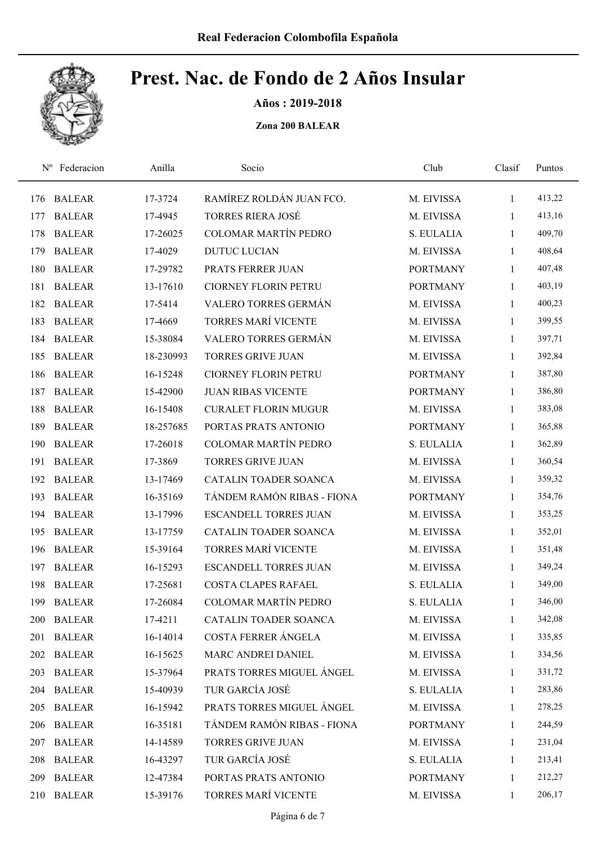

Años : 2019-2018

| $N^{\rm o}$ | Federacion    | Anilla    | Socio                        | Club            | Clasif       | Puntos |
|-------------|---------------|-----------|------------------------------|-----------------|--------------|--------|
| 176         | <b>BALEAR</b> | 17-3724   | RAMÍREZ ROLDÁN JUAN FCO.     | M. EIVISSA      | 1            | 413,22 |
| 177         | <b>BALEAR</b> | 17-4945   | <b>TORRES RIERA JOSÉ</b>     | M. EIVISSA      | 1            | 413,16 |
| 178         | <b>BALEAR</b> | 17-26025  | <b>COLOMAR MARTÍN PEDRO</b>  | S. EULALIA      | 1            | 409,70 |
| 179         | <b>BALEAR</b> | 17-4029   | <b>DUTUC LUCIAN</b>          | M. EIVISSA      | 1            | 408,64 |
| 180         | <b>BALEAR</b> | 17-29782  | PRATS FERRER JUAN            | <b>PORTMANY</b> | 1            | 407,48 |
| 181         | <b>BALEAR</b> | 13-17610  | <b>CIORNEY FLORIN PETRU</b>  | <b>PORTMANY</b> | 1            | 403,19 |
| 182         | <b>BALEAR</b> | 17-5414   | VALERO TORRES GERMÁN         | M. EIVISSA      | 1            | 400,23 |
| 183         | <b>BALEAR</b> | 17-4669   | <b>TORRES MARÍ VICENTE</b>   | M. EIVISSA      | 1            | 399,55 |
| 184         | <b>BALEAR</b> | 15-38084  | VALERO TORRES GERMÁN         | M. EIVISSA      | 1            | 397,71 |
| 185         | <b>BALEAR</b> | 18-230993 | <b>TORRES GRIVE JUAN</b>     | M. EIVISSA      | 1            | 392,84 |
| 186         | <b>BALEAR</b> | 16-15248  | <b>CIORNEY FLORIN PETRU</b>  | <b>PORTMANY</b> | 1            | 387,80 |
| 187         | <b>BALEAR</b> | 15-42900  | <b>JUAN RIBAS VICENTE</b>    | <b>PORTMANY</b> | 1            | 386,80 |
| 188         | <b>BALEAR</b> | 16-15408  | <b>CURALET FLORIN MUGUR</b>  | M. EIVISSA      | 1            | 383,08 |
| 189         | <b>BALEAR</b> | 18-257685 | PORTAS PRATS ANTONIO         | <b>PORTMANY</b> | 1            | 365,88 |
| 190         | <b>BALEAR</b> | 17-26018  | <b>COLOMAR MARTÍN PEDRO</b>  | S. EULALIA      | 1            | 362,89 |
| 191         | <b>BALEAR</b> | 17-3869   | <b>TORRES GRIVE JUAN</b>     | M. EIVISSA      | 1            | 360,54 |
| 192         | <b>BALEAR</b> | 13-17469  | CATALIN TOADER SOANCA        | M. EIVISSA      | 1            | 359,32 |
| 193         | <b>BALEAR</b> | 16-35169  | TÁNDEM RAMÓN RIBAS - FIONA   | <b>PORTMANY</b> | 1            | 354,76 |
| 194         | <b>BALEAR</b> | 13-17996  | <b>ESCANDELL TORRES JUAN</b> | M. EIVISSA      | 1            | 353,25 |
| 195         | <b>BALEAR</b> | 13-17759  | CATALIN TOADER SOANCA        | M. EIVISSA      | 1            | 352,01 |
| 196         | <b>BALEAR</b> | 15-39164  | TORRES MARÍ VICENTE          | M. EIVISSA      | 1            | 351,48 |
| 197         | <b>BALEAR</b> | 16-15293  | <b>ESCANDELL TORRES JUAN</b> | M. EIVISSA      | 1            | 349,24 |
| 198         | <b>BALEAR</b> | 17-25681  | <b>COSTA CLAPES RAFAEL</b>   | S. EULALIA      | 1            | 349,00 |
| 199         | <b>BALEAR</b> | 17-26084  | COLOMAR MARTÍN PEDRO         | S. EULALIA      | 1            | 346,00 |
| 200         | <b>BALEAR</b> | 17-4211   | CATALIN TOADER SOANCA        | M. EIVISSA      | 1            | 342,08 |
| 201         | <b>BALEAR</b> | 16-14014  | COSTA FERRER ÁNGELA          | M. EIVISSA      | 1            | 335,85 |
|             | 202 BALEAR    | 16-15625  | MARC ANDREI DANIEL           | M. EIVISSA      | 1            | 334,56 |
| 203         | <b>BALEAR</b> | 15-37964  | PRATS TORRES MIGUEL ANGEL    | M. EIVISSA      | $\mathbf{1}$ | 331,72 |
| 204         | <b>BALEAR</b> | 15-40939  | TUR GARCÍA JOSÉ              | S. EULALIA      | 1            | 283,86 |
| 205         | <b>BALEAR</b> | 16-15942  | PRATS TORRES MIGUEL ÁNGEL    | M. EIVISSA      | $\mathbf{1}$ | 278,25 |
| 206         | <b>BALEAR</b> | 16-35181  | TÁNDEM RAMÓN RIBAS - FIONA   | <b>PORTMANY</b> | $\mathbf{1}$ | 244,59 |
| 207         | <b>BALEAR</b> | 14-14589  | <b>TORRES GRIVE JUAN</b>     | M. EIVISSA      | 1            | 231,04 |
| 208         | <b>BALEAR</b> | 16-43297  | TUR GARCÍA JOSÉ              | S. EULALIA      | 1            | 213,41 |
| 209         | <b>BALEAR</b> | 12-47384  | PORTAS PRATS ANTONIO         | <b>PORTMANY</b> | 1            | 212,27 |
| 210         | <b>BALEAR</b> | 15-39176  | TORRES MARÍ VICENTE          | M. EIVISSA      | 1            | 206,17 |
|             |               |           |                              |                 |              |        |